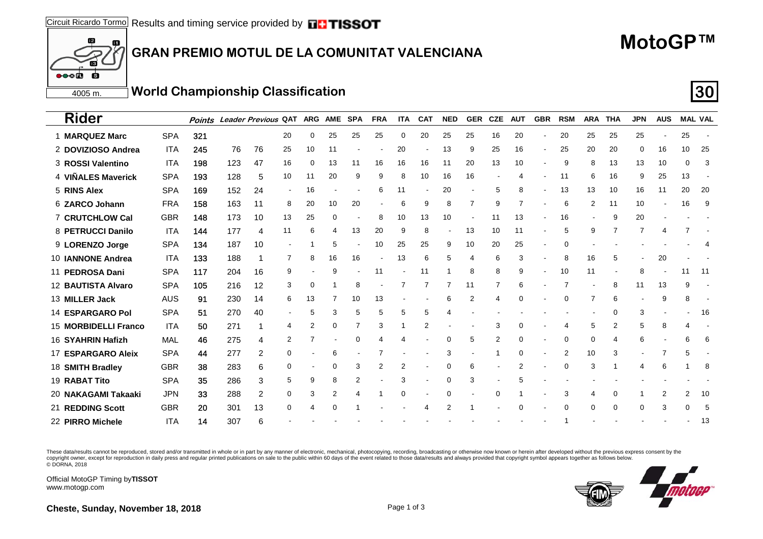#### m **GRAN PREMIO MOTUL DE LA COMUNITAT VALENCIANA**

### **MotoGP™**

4005 m.**World Championship Classification 30**

| <b>Rider</b>             |            | <b>Points</b> |     | Leader Previous QAT |                |                | ARG AME SPA |          | <b>FRA</b> | <b>ITA</b> | <b>CAT</b>               | <b>NED</b> | <b>GER</b>     | <b>CZE</b> | <b>AUT</b> | <b>GBR</b>               | <b>RSM</b> | <b>ARA</b>     | THA | <b>JPN</b>     | <b>AUS</b> |    | <b>MAL VAL</b> |
|--------------------------|------------|---------------|-----|---------------------|----------------|----------------|-------------|----------|------------|------------|--------------------------|------------|----------------|------------|------------|--------------------------|------------|----------------|-----|----------------|------------|----|----------------|
| 1 MARQUEZ Marc           | <b>SPA</b> | 321           |     |                     | 20             | 0              | 25          | 25       | 25         | 0          | 20                       | 25         | 25             | 16         | 20         |                          | 20         | 25             | 25  | 25             |            | 25 |                |
| 2 DOVIZIOSO Andrea       | <b>ITA</b> | 245           | 76  | 76                  | 25             | 10             | 11          |          |            | 20         | $\overline{\phantom{a}}$ | 13         | 9              | 25         | 16         | $\overline{\phantom{a}}$ | 25         | 20             | 20  | 0              | 16         | 10 | 25             |
| 3 ROSSI Valentino        | <b>ITA</b> | 198           | 123 | 47                  | 16             | 0              | 13          | 11       | 16         | 16         | 16                       | 11         | 20             | 13         | 10         |                          | 9          | 8              | 13  | 13             | 10         | 0  | 3              |
| 4 VIÑALES Maverick       | <b>SPA</b> | 193           | 128 | 5                   | 10             | 11             | 20          | 9        | 9          | 8          | 10                       | 16         | 16             |            |            |                          | 11         | 6              | 16  | 9              | 25         | 13 |                |
| 5 RINS Alex              | <b>SPA</b> | 169           | 152 | 24                  | $\blacksquare$ | 16             |             |          | 6          | 11         |                          | 20         |                | 5          | 8          |                          | 13         | 13             | 10  | 16             | 11         | 20 | 20             |
| 6 ZARCO Johann           | <b>FRA</b> | 158           | 163 | 11                  | 8              | 20             | 10          | 20       |            | 6          | 9                        | 8          |                | 9          |            |                          | 6          | $\overline{2}$ | 11  | 10             |            | 16 | 9              |
| <b>7 CRUTCHLOW Cal</b>   | <b>GBR</b> | 148           | 173 | 10                  | 13             | 25             | 0           |          | 8          | 10         | 13                       | 10         |                | 11         | 13         |                          | 16         |                | 9   | 20             |            |    |                |
| 8 PETRUCCI Danilo        | <b>ITA</b> | 144           | 177 | 4                   | 11             | 6              | 4           | 13       | 20         | 9          | 8                        |            | 13             | 10         | 11         |                          | 5          | 9              |     | 7              |            |    |                |
| 9 LORENZO Jorge          | <b>SPA</b> | 134           | 187 | 10                  |                |                | 5           |          | 10         | 25         | 25                       | 9          | 10             | 20         | 25         |                          |            |                |     |                |            |    |                |
| 10 <b>JANNONE Andrea</b> | <b>ITA</b> | 133           | 188 |                     | 7              | 8              | 16          | 16       |            | 13         | 6                        | 5          | 4              | 6          | 3          |                          | 8          | 16             | 5   | $\blacksquare$ | 20         |    |                |
| 11 PEDROSA Dani          | <b>SPA</b> | 117           | 204 | 16                  | 9              |                | 9           |          | 11         |            | 11                       |            | 8              | 8          | 9          |                          | 10         | 11             |     | 8              |            | 11 | -11            |
| 12 BAUTISTA Alvaro       | <b>SPA</b> | 105           | 216 | 12                  | 3              | 0              |             | 8        |            |            |                          |            | 11             | 7          | 6          |                          |            |                | 8   | 11             | 13         | 9  |                |
| 13 MILLER Jack           | <b>AUS</b> | 91            | 230 | 14                  | 6              | 13             |             | 10       | 13         |            |                          | 6          | $\overline{2}$ | 4          |            |                          |            |                | 6   |                | 9          | 8  |                |
| <b>14 ESPARGARO Pol</b>  | <b>SPA</b> | 51            | 270 | 40                  |                | 5              | 3           | 5        | 5          | 5          | 5                        |            |                |            |            |                          |            |                | 0   | 3              |            |    | 16             |
| 15 MORBIDELLI Franco     | <b>ITA</b> | 50            | 271 |                     | 4              | $\overline{2}$ | 0           |          | 3          |            | 2                        |            |                | 3          |            |                          |            | 5              | 2   | 5              | 8          | 4  |                |
| 16 SYAHRIN Hafizh        | MAL        | 46            | 275 | 4                   | 2              |                |             | $\Omega$ |            |            |                          | 0          | 5              | 2          | 0          |                          | 0          | $\Omega$       |     | 6              |            | 6  | 6              |
| 17 ESPARGARO Aleix       | <b>SPA</b> | 44            | 277 | 2                   | 0              |                | 6           |          |            |            |                          | 3          |                |            |            |                          | 2          | 10             | 3   |                |            | 5  |                |
| 18 SMITH Bradley         | <b>GBR</b> | 38            | 283 | 6                   | 0              |                | 0           | 3        | 2          | 2          |                          | 0          | 6              |            |            |                          | $\Omega$   |                |     |                | 6          |    | 8              |
| 19 RABAT Tito            | <b>SPA</b> | 35            | 286 | 3                   | 5              | 9              | 8           | 2        |            | 3          |                          | 0          | 3              |            |            |                          |            |                |     |                |            |    |                |
| 20 NAKAGAMI Takaaki      | <b>JPN</b> | 33            | 288 | $\overline{2}$      | 0              | 3              | 2           |          |            | o          |                          | 0          |                | 0          |            |                          | 3          |                | 0   |                | 2          | 2  | 10             |
| 21 REDDING Scott         | <b>GBR</b> | 20            | 301 | 13                  | $\Omega$       |                |             |          |            |            |                          |            |                |            |            |                          | $\Omega$   | $\Omega$       | 0   | 0              | 3          | 0  | -5             |
| 22 PIRRO Michele         | <b>ITA</b> | 14            | 307 | հ                   |                |                |             |          |            |            |                          |            |                |            |            |                          |            |                |     |                |            |    | 13             |

These data/results cannot be reproduced, stored and/or transmitted in whole or in part by any manner of electronic, mechanical, photocopying, recording, broadcasting or otherwise now known or herein after developed without copyright owner, except for reproduction in daily press and regular printed publications on sale to the public within 60 days of the event related to those data/results and always provided that copyright symbol appears tog

Official MotoGP Timing by **TISSOT**www.motogp.com

 $\overline{12}$ 

**S** 

 $\bullet \bullet \bullet$ 



**Cheste, Sunday, November 18, 2018** Page 1 of 3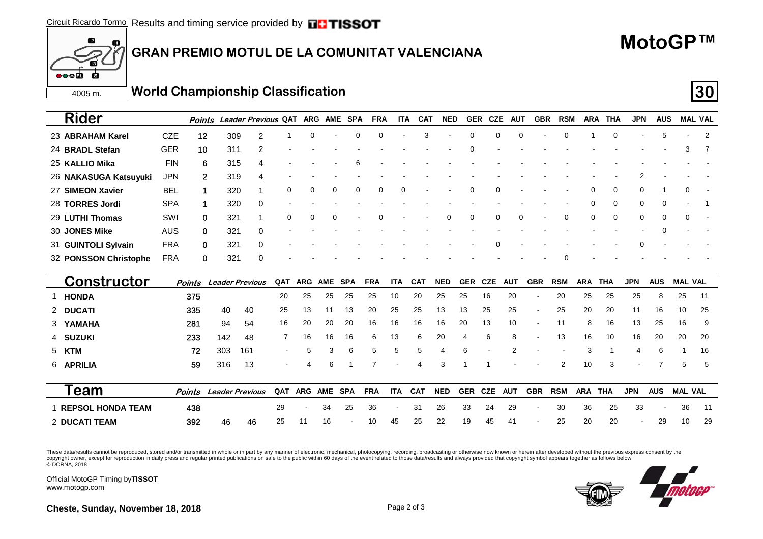### **GRAN PREMIO MOTUL DE LA COMUNITAT VALENCIANA**

## **MotoGP™**

4005 m.**World Championship Classification 30**

|--|

| <b>Rider</b>                       |               | Points | Leader Previous QAT    |                          | <b>ARG</b>    | <b>AME</b> | SPA         | <b>FRA</b>     | <b>ITA</b> | <b>CAT</b> | <b>NED</b> | <b>GER</b> | <b>CZE</b> | AUT            | <b>GBR</b> | <b>RSM</b>     | <b>ARA</b> | THA         | <b>JPN</b> | <b>AUS</b> |                | <b>MAL VAL</b> |
|------------------------------------|---------------|--------|------------------------|--------------------------|---------------|------------|-------------|----------------|------------|------------|------------|------------|------------|----------------|------------|----------------|------------|-------------|------------|------------|----------------|----------------|
| 23 ABRAHAM Karel                   | <b>CZE</b>    | 12     | 309                    | 2                        | 0             |            | $\mathbf 0$ | 0              |            | 3          |            | 0          | 0          | $\Omega$       |            | 0              |            | $\mathbf 0$ |            | 5          |                | 2              |
| 24 BRADL Stefan                    | <b>GER</b>    | 10     | 311                    | 2                        |               |            |             |                |            |            |            | O          |            |                |            |                |            |             |            |            | 3              | -7             |
| 25 KALLIO Mika                     | <b>FIN</b>    | 6      | 315                    |                          |               |            |             |                |            |            |            |            |            |                |            |                |            |             |            |            |                |                |
| 26 NAKASUGA Katsuyuki              | <b>JPN</b>    | 2      | 319                    |                          |               |            |             |                |            |            |            |            |            |                |            |                |            |             |            |            |                |                |
| 27 SIMEON Xavier                   | <b>BEL</b>    | 1      | 320                    |                          | 0<br>0        | 0          | $\mathbf 0$ | 0              | 0          |            |            | 0          | 0          |                |            |                | 0          | 0           | 0          |            | 0              |                |
| 28 TORRES Jordi                    | <b>SPA</b>    | 1      | 320                    | 0                        |               |            |             |                |            |            |            |            |            |                |            |                | 0          | 0           | 0          |            |                |                |
| 29 LUTHI Thomas                    | SWI           | 0      | 321                    |                          | 0<br>$\Omega$ | $\Omega$   |             |                |            |            | $\Omega$   | 0          | 0          | $\Omega$       |            | 0              | 0          | 0           | 0          | $\Omega$   | 0              |                |
| 30 JONES Mike                      | <b>AUS</b>    | 0      | 321                    | $\Omega$                 |               |            |             |                |            |            |            |            |            |                |            |                |            |             |            |            |                |                |
| 31 GUINTOLI Sylvain                | <b>FRA</b>    | 0      | 321                    | 0                        |               |            |             |                |            |            |            |            |            |                |            |                |            |             |            |            |                |                |
| 32 PONSSON Christophe              | <b>FRA</b>    | 0      | 321                    | $\Omega$                 |               |            |             |                |            |            |            |            |            |                |            | ი              |            |             |            |            |                |                |
|                                    |               |        |                        |                          |               |            |             |                |            |            |            |            |            |                |            |                |            |             |            |            |                |                |
|                                    | <b>Points</b> |        | <b>Leader Previous</b> | QAT                      | <b>ARG</b>    | <b>AME</b> | <b>SPA</b>  | <b>FRA</b>     | <b>ITA</b> | <b>CAT</b> | <b>NED</b> | <b>GER</b> | <b>CZE</b> | <b>AUT</b>     | <b>GBR</b> | <b>RSM</b>     | <b>ARA</b> | <b>THA</b>  | <b>JPN</b> | <b>AUS</b> | <b>MAL VAL</b> |                |
| <b>Constructor</b><br><b>HONDA</b> | 375           |        |                        | 20                       | 25            | 25         | 25          | 25             | 10         | 20         | 25         | 25         | 16         | 20             |            | 20             | 25         | 25          | 25         | 8          | 25             | 11             |
| 2 DUCATI                           | 335           |        | 40<br>40               | 25                       | 13            | 11         | 13          | 20             | 25         | 25         | 13         | 13         | 25         | 25             |            | 25             | 20         | 20          | 11         | 16         | 10             | 25             |
| 3 YAMAHA                           | 281           |        | 94<br>54               | 16                       | 20            | 20         | 20          | 16             | 16         | 16         | 16         | 20         | 13         | 10             |            | 11             | 8          | 16          | 13         | 25         | 16             | 9              |
| 4 SUZUKI                           | 233           |        | 142<br>48              | 7                        | 16            | 16         | 16          | 6              | 13         | 6          | 20         | 4          | 6          | 8              |            | 13             | 16         | 10          | 16         | 20         | 20             | 20             |
| 5 KTM                              | 72            |        | 303<br>161             | $\overline{\phantom{a}}$ | 5             | 3          | 6           | 5              | 5          | 5          | 4          | 6          |            | $\overline{2}$ |            |                | 3          |             | 4          | 6          |                | 16             |
| 6 APRILIA                          | 59            |        | 13<br>316              |                          | 4             | 6          |             | $\overline{7}$ |            | 4          | 3          |            |            |                |            | $\overline{2}$ | 10         | 3           |            | 7          | 5              | 5              |
|                                    |               |        |                        |                          |               |            |             |                |            |            |            |            |            |                |            |                |            |             |            |            |                |                |
| Team                               | Points        |        | <b>Leader Previous</b> | QAT                      | <b>ARG</b>    | <b>AME</b> | <b>SPA</b>  | <b>FRA</b>     | <b>ITA</b> | <b>CAT</b> | <b>NED</b> | <b>GER</b> | <b>CZE</b> | <b>AUT</b>     | <b>GBR</b> | <b>RSM</b>     | <b>ARA</b> | <b>THA</b>  | <b>JPN</b> | <b>AUS</b> | <b>MAL VAL</b> |                |
| <b>REPSOL HONDA TEAM</b>           | 438           |        |                        | 29                       |               | 34         | 25          | 36             |            | 31         | 26         | 33         | 24         | 29             |            | 30             | 36         | 25          | 33         |            | 36             | 11             |

These data/results cannot be reproduced, stored and/or transmitted in whole or in part by any manner of electronic, mechanical, photocopying, recording, broadcasting or otherwise now known or herein after developed without copyright owner, except for reproduction in daily press and regular printed publications on sale to the public within 60 days of the event related to those data/results and always provided that copyright symbol appears tog

Official MotoGP Timing by **TISSOT**www.motogp.com

 $f2$ 

**S** 

 $\bullet \bullet \bullet$ 

m



**Cheste, Sunday, November 18, 2018** Page 2 of 3